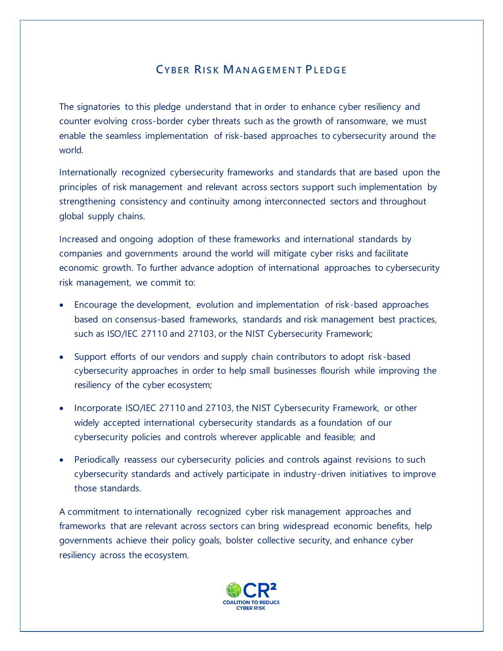## **CYBER RIS K MAN AG EM EN T PL ED G E**

The signatories to this pledge understand that in order to enhance cyber resiliency and counter evolving cross-border cyber threats such as the growth of ransomware, we must enable the seamless implementation of risk-based approaches to cybersecurity around the world.

Internationally recognized cybersecurity frameworks and standards that are based upon the principles of risk management and relevant across sectors support such implementation by strengthening consistency and continuity among interconnected sectors and throughout global supply chains.

Increased and ongoing adoption of these frameworks and international standards by companies and governments around the world will mitigate cyber risks and facilitate economic growth. To further advance adoption of international approaches to cybersecurity risk management, we commit to:

- Encourage the development, evolution and implementation of risk-based approaches based on consensus-based frameworks, standards and risk management best practices, such as ISO/IEC 27110 and 27103, or the NIST Cybersecurity Framework;
- Support efforts of our vendors and supply chain contributors to adopt risk-based cybersecurity approaches in order to help small businesses flourish while improving the resiliency of the cyber ecosystem;
- Incorporate ISO/IEC 27110 and 27103, the NIST Cybersecurity Framework, or other widely accepted international cybersecurity standards as a foundation of our cybersecurity policies and controls wherever applicable and feasible; and
- Periodically reassess our cybersecurity policies and controls against revisions to such cybersecurity standards and actively participate in industry-driven initiatives to improve those standards.

A commitment to internationally recognized cyber risk management approaches and frameworks that are relevant across sectors can bring widespread economic benefits, help governments achieve their policy goals, bolster collective security, and enhance cyber resiliency across the ecosystem.